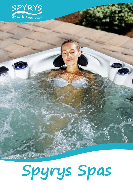

# **Spyrys Spas**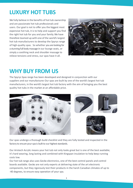## **LUXURY HOT TUBS**

We fully believe in the benefits of hot tub ownership and are passionate hot tub professionals and users. Our goal is not to offer you the biggest most expensive hot tub, it is to help and support you find the right hot tub for you and your family. We have therefore teamed up with one of the world's largest hot tub manufacturers to develop the Spyrys range of high-quality spas. So whether you are looking for a stunning full body massage in our lounge seats, or simply a soothing neck and shoulder massage to relieve tensions and stress, our spas have it all.



### **WHY BUY FROM US**

The Spyrys Spas range has been developed and designed in conjunction with our suppliers and our manufacturer. Our spas are built by one of the world's largest hot tub manufacturers, in the world's largest hot tub factory with the aim of bringing you the best quality hot tubs in the market at an affordable price.



Our spas undergo a thorough build checklist and they are fully tested and inspected in the factory to ensure your spa is built to our highest standards.

Our Aristech Acrylic means your hot tub not only looks great but is one of the best available; it's hard wearing, long lasting and combined with Kingspan insulation to help keep running costs low.

Our hot tub range also uses Gecko electronics, one of the best control panels and control boards available. Gecko are not only experts at delivering state of the art electronic components, but they rigorously test their products in the harsh Canadian climates of up to -40 degrees, to ensure easy operation of your spa.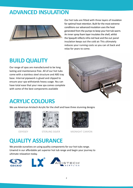### **ADVANCED INSULATION**



Our hot tubs are fitted with three layers of insulation for optimal heat retention. Built for the most extreme conditions our advanced insulation uses the heat generated from the pumps to keep your hot tub warm. An inner spray foam layer insulates the shell, whilst the Spaquilt reflects infra red heat and the out panel insulation keeps out the cold air. This ultimately reduces your running costs so you can sit back and relax for years to come.

### **BUILD QUALITY**

Our range of spas are manufactured to be long lasting and maintenance free. All of our hot tubs come with a stainless steel structure and ABS tray base. Internal pipework is glued and clipped to ensure your spa withstands heavy usage. You can have total ease that your new spa comes complete with some of the best components available



### **ACRYLIC COLOURS**

We use American Aristech Acrylic for the shell and have three stunning designs







ODYSSEY STERLING SILVER MIDNIGHT CANYON

## **QUALITY ASSURANCE**

We provide ourselves on using quality components for our hot tubs range. Unwind in our affordable yet superior hot tub range and begin your journey to ultimate relaxation today.

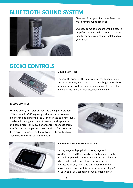### **BLUETOOTH SOUND SYSTEM**



Streamed from your Spa - Your favourite music never sounded so good.

Our spas come as standard with Bluetooth amplifier and two built in popup speakers Simply connect your phone/tablet and play your music.

### **GECKO CONTROLS**



#### **In.K300 CONTROL**

The in.k300 brings all the features you really need to one keypad. Compact, with a big LCD screen; bright enough to be seen throughout the day; simple enough to use in the middle of the night; affordable, yet solidly built.

#### **In.K500 CONTROL**

With its bright, full color display and the high resolution of its screen, in.k500 keypad provides an intuitive user experience and brings the spa user interface to a new level. Loaded with a large amount of memory and a powerful on-board processor, in.k500 offers a truly seamless graphic interface and a complete control on all spa functions. Yet it is discreet, compact, and unobtrusively beautiful. Save space without losing out on functions.





#### **In.K1000+ TOUCH SCREEN CONTROL**

Parting ways with physical buttons, keys and overlays, the in.k1000+ touch screen keypad is fun to use and simple to learn. Mode and function selection wheels, all on/all off one touch activation key, interactive display icons and on screen reminders make for a unique user interface. An eye catching 4.3 in. 256K color LCD capacitive touch screen display.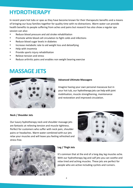### **HYDROTHERAPY**

In recent years hot tubs or spas as they have become known for their therapeutic benefits and a means of bringing our busy families together for quality time with no distractions. Warm water can provide health benefits to people suffering from aches and pains but research has also show a regular spa session can also:

- Reduce blood pressure and aid stroke rehabilitation
- Promote white blood cell circulation to fight colds and infections
- Reduce blood sugar levels in diabetes
- Increase metabolic rate to aid weight loss and detoxifying
- Help with insomnia
- Provide sports injury rehabilitation
- Relieve tension and stress
- Reduce arthritic pains and enables non weight bearing exercise

### **MASSAGE JETS**



#### **Advanced Ultimate Massagers**

Imagine having your own personal masseuse but in your hot tub, our hydrotherapy jets can help with joint mobilisation, muscle strengthening, maintenance and restoration and improved circulation.

#### **Neck / Shoulder Jets**

Our luxury hydrotherapy neck and shoulder massage jets are fantastic at relieving tension and muscle tightness. Perfect for customers who suffer with neck pain, shoulder pains or headaches. Warm water combined with our jets relax your muscles and will leave you feeling refreshed and stress free.





#### **Leg / Thigh Jets**

It's common that at the end of a long day, leg muscles ache. With our hydrotherapy leg and calf jets you can soothe and relax tired and aching muscles. These jets are perfect for people who are active including cyclists and runners.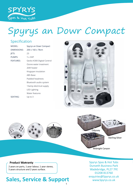

## Spyrys an Dowr Compact

### Specification Specification

| <b>MODEL:</b>    | Spyrys an Dowr Compact     |
|------------------|----------------------------|
| DIMENSIONS:      | 200 x 160 x 78cm           |
| IETS:            | 23                         |
| PUMPS:           | $1 \times 3HP$             |
| <b>FEATURES:</b> | Gecko K300 Digital Control |
|                  | Ozone water treatment      |
|                  | 2kW heater                 |
|                  | Kingspan insulation        |
|                  | ABS Base                   |
|                  | Padded headrests           |
|                  | Bluetooth audio system     |
|                  | 13amp electrical supply    |
|                  | <b>LED Lighting</b>        |
|                  | Water features             |
| SEATING:         | Up to $3$                  |
|                  |                            |











Midnight Canyon  $S_{\text{S}}$  is seen that  $S_{\text{S}}$  is seen that  $S_{\text{S}}$  is seen that  $S_{\text{S}}$  is seen that  $S_{\text{S}}$  is a set of the set of the set of the set of the set of the set of the set of the set of the set of the set of the set

5 Dunveth Business Park Wadebridge

### **Product Warranty**

**Product Warranty**

2 years on parts, 1 year labour, 1 year stereo, 5 years structure and 2 years surface.

### Sales, Service & Support  $\frac{1}{2}$

01208 81376 81376 81376 81376 81376 81376 81376 81376 81376 81376 81376 81376 81376 81376 81376 81376 81376 8<br>1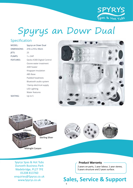

## Spyrys an Dowr Dual

### Specification

| MODEL:           | Spyrys an Dowr Dual        |
|------------------|----------------------------|
| DIMENSIONS:      | 210 x 210 x 93cm           |
| JETS:            | 25                         |
| PUMPS:           | $1 \times 3HP$             |
| <b>FEATURES:</b> | Gecko K300 Digital Control |
|                  | Ozone water treatment      |
|                  | 2kW heater                 |
|                  | Kingspan insulation        |
|                  | ABS Base                   |
|                  | Padded headrests           |
|                  | Bluetooth audio system     |
|                  | 13amp electrical supply    |
|                  | LED Lighting               |
|                  | Water features             |
| <b>SEATING:</b>  | Up to $5$                  |
|                  |                            |





Midnight Canyon





Spyrys Spas & Hot Tubs **Product Warranty Product** Wadebridge, PL27 7FE Wadebridge, FL27 7TL<br>01208 813760<br> $\frac{1}{2}$ enquiries@Spyrys.co.uk www.Spyrys.co.uk  $2 \times 1$  years on parts, 1 year step 5 byrys spas & Hot Tubs

**Product Warranty**

### **Product Warranty**

2 years on parts, 1 year labour, 1 year stereo, 5 years structure and 2 years surface.

5 Dunveth Business Park

01208 813760 813760 813760 813760 813760 813760 813760 813760 813760 813760 813760 813760 813760 813760 813760

ww.Spyrys.com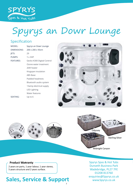

## Specification Spyrys an Dowr Lounge

### Specification

| MODEL:           | Spyrys an Dowr Lounge      |
|------------------|----------------------------|
| DIMENSIONS:      | 200 x 200 x 93cm           |
| JETS:            | 29                         |
| PUMPS:           | $1 \times 3HP$             |
| <b>FEATURES:</b> | Gecko K300 Digital Control |
|                  | Ozone water treatment      |
|                  | 2kW heater                 |
|                  | Kingspan insulation        |
|                  | ABS Base                   |
|                  | Padded headrests           |
|                  | Bluetooth audio system     |
|                  | 13amp electrical supply    |
|                  | LED Lighting               |
|                  | Water features             |
| SEATING:         | Up to 6                    |
|                  |                            |











Midnight Canyon  $S_{\text{S}}$  is seen that  $S_{\text{S}}$  is seen that  $S_{\text{S}}$  is seen that  $S_{\text{S}}$  is seen that  $S_{\text{S}}$  is a set of the set of the set of the set of the set of the set of the set of the set of the set of the set of the set

5 Dunveth Business Park Wadebridge

### **Product Warranty**

**Product Warranty**

2 years on parts, 1 year labour, 1 year stereo, 5 years structure and 2 years surface.

#### Sales, Service & Support  $\frac{1}{2}$ 7

01208 81376 81376 81376 81376 81376 81376 81376 81376 81376 81376 81376 81376 81376 81376 81376 81376 81376 8<br>1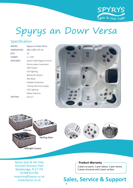

## Spyrys an Dowr Versa

### Specification

| MODEL:           | Spyrys an Dowr Versa       |
|------------------|----------------------------|
| DIMENSIONS:      | 200 x 200 x 87 cm          |
| JETS:            | 30                         |
| PUMPS:           | $1 \times 3HP$             |
| <b>FEATURES:</b> | Gecko K300 Digital Control |
|                  | Ozone water treatment      |
|                  | 2kW heater                 |
|                  | LED lighting               |
|                  | <b>Bluetooth Stereo</b>    |
|                  | <b>ABS Base</b>            |
|                  | Padded headrests           |
|                  | 13amp electrical supply    |
|                  | LED Lighting               |
|                  | Water features             |
| SEATING:         | Up to 5                    |
|                  |                            |





Spyrys Spas & Hot Tubs **Product Warranty Product** Wadebridge, PL27 7FE Wadebridge, FL27 7TL<br>01208 813760<br> $\frac{1}{2}$ enquiries@Spyrys.co.uk www.Spyrys.co.uk  $2 \times 1$  years on parts, 1 year step 5 byrys spas & Hot Tubs

**Product Warranty**

Midnight Canyon

### **Product Warranty**

2 years on parts, 1 year labour, 1 year stereo, 5 years structure and 2 years surface.

5 Dunveth Business Park

01208 813760 813760 813760 813760 813760 813760 813760 813760 813760 813760 813760 813760 813760 813760 813760

ww.Spyrys.com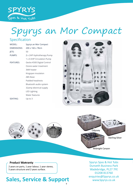

## Specification Spyrys an Mor Compact

### Specification

| <b>MODEL:</b>    | Spyrys an Mor Compact      |
|------------------|----------------------------|
| DIMENSIONS:      | 200 x 160 x 78cm           |
| JETS:            | 50                         |
| PUMPS:           | 2 x 2HP Hydrotherapy Pump  |
|                  | 1 x 0.5HP Circulation Pump |
| <b>FEATURES:</b> | Gecko K500 Digital Control |
|                  | Ozone water treatment      |
|                  | 3kW heater                 |
|                  | Kingspan insulation        |
|                  | <b>ABS Base</b>            |
|                  | <b>Padded headrests</b>    |
|                  | Bluetooth audio system     |
|                  | 32amp electrical supply    |
|                  | <b>LED Lighting</b>        |
|                  | Water features             |
| SEATING:         | Up to 3                    |
|                  |                            |













Midnight Canyon  $S_{\text{S}}$  is seen that  $S_{\text{S}}$  is seen that  $S_{\text{S}}$  is seen that  $S_{\text{S}}$  is seen that  $S_{\text{S}}$  is a set of the set of the set of the set of the set of the set of the set of the set of the set of the set of the set

5 Dunveth Business Park Wadebridge

### **Product Warranty**

**Product Warranty**

2 years on parts, 1 year labour, 1 year stereo, 5 years structure and 2 years surface.

### Sales, Service & Support  $\frac{1}{2}$

01208 81376 81376 81376 81376 81376 81376 81376 81376 81376 81376 81376 81376 81376 81376 81376 81376 81376 8<br>1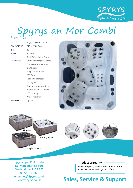

### Specification<br>
MODEL: Spyrys an Mor Combi Spyrys an Mor Combi **Specification**

| MODEL:             | Spyrys an Mor Combi        |
|--------------------|----------------------------|
| <b>DIMENSIONS:</b> | 210 x 175 x 94cm           |
| JETS:              | 42                         |
| PUMPS:             | $2 \times 2HP$             |
|                    | 0.5 HP Circulation Pump    |
| <b>FEATURES:</b>   | Gecko K500 Digital Control |
|                    | Ozone water treatment      |
|                    | 3kW heater                 |
|                    | Kingspan insulation        |
|                    | <b>ABS Base</b>            |
|                    | Padded headrests           |
|                    | LED lights                 |
|                    | Bluetooth audio system     |
|                    | 32amp electrical supply    |
|                    | <b>LED Lighting</b>        |
|                    | <b>Water features</b>      |
| SEATING:           | Up to 4                    |





Midnight Canyon

Midnight Canyon

Spyrys Spas & Hot Tubs **Product Warranty Product** Wadebridge, PL27 7FE Wadebridge, FL27 7TL<br>01208 813760<br> $\frac{1}{2}$ enquiries@Spyrys.co.uk www.Spyrys.co.uk **Sal**  $2 \times 1$  years on parts, 1 year step 5 byrys spas & Hot Tubs

**Product Warranty**

### **Product Warranty**

2 years on parts, 1 year labour, 1 year stereo, 5 years structure and 2 years surface.

Dunveth Business Park

01208 813760 813760 813760 813760 813760 813760 813760 813760 813760 813760 813760 813760 813760 813760 813760

ww.Spyrys.com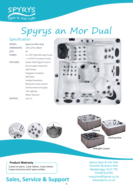

## Spyrys an Mor Dual

### Specification

| MODEL:           | Spyrys an Mor Dual         |
|------------------|----------------------------|
| DIMENSIONS:      | 210 x 210 x 93cm           |
| JETS:            | 56                         |
| PUMPS:           | 2 x 3HP Hydrotherapy Pump: |
|                  | 1 x 0.5HP Circulation Pump |
| <b>FEATURES:</b> | Gecko K500 Digital Control |
|                  | Ozone water treatment      |
|                  | 3kW heater                 |
|                  | Kingspan insulation        |
|                  | ABS Base                   |
|                  | Padded headrests           |
|                  | Bluetooth audio system     |
|                  | 32amp electrical supply    |
|                  | <b>LED Lighting</b>        |
|                  | Water features             |
| SEATING:         | Up to $5$                  |
|                  |                            |













Midnight Canyon  $S_{\text{S}}$  is seen that  $S_{\text{S}}$  is seen that  $S_{\text{S}}$  is seen that  $S_{\text{S}}$  is seen that  $S_{\text{S}}$  is a set of the set of the set of the set of the set of the set of the set of the set of the set of the set of the set

5 Dunveth Business Park Wadebridge

### **Product Warranty**

**Product Warranty**

2 years on parts, 1 year labour, 1 year stereo, 5 years structure and 2 years surface.

### Sales, Service & Support  $\frac{1}{2}$

01208 81376 81376 81376 81376 81376 81376 81376 81376 81376 81376 81376 81376 81376 81376 81376 81376 81376 8<br>1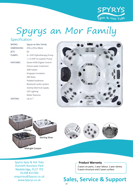

## Spyrys an Mor Family

### Specification

| Spyrys an Mor Family       |
|----------------------------|
| 210 x 210 x 93cm           |
| 60                         |
| 2 x 3HP Hydrotherapy Pump  |
| 1 x 0.5HP Circulation Pump |
| Gecko K500 Digital Control |
| Ozone water treatment      |
| 3kW heater                 |
| Kingspan insulation        |
| <b>ABS Base</b>            |
| Padded headrests           |
| Bluetooth audio system     |
| 32amp electrical supply    |
| <b>LED Lighting</b>        |
| Water features             |
| Up to $7$                  |
|                            |





Spyrys Spas & Hot Tubs **Product Warranty Product** Wadebridge, PL27 7FE<br>01208 813760 01208 813760 enquiries@Spyrys.co.uk www.Spyrys.co.uk **Sal**  $2 \times 1$  years on parts, 1 year step 5 byrys spas & Hot Tubs

**Product Warranty**

Midnight Canyon

### **Product Warranty**

2 years on parts, 1 year labour, 1 year stereo, 5 years structure and 2 years surface.  $\begin{array}{|c|c|c|c|c|}\n\hline\n2&\gamma\epsilon\end{array}$ 

5 Dunveth Business Park

01208 813760 813760 813760 813760 813760 813760 813760 813760 813760 813760 813760 813760 813760 813760 813760

ww.Spyrys.com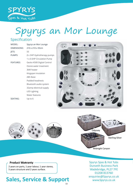

## Specification Spyrys an Mor Lounge

### Specification

| MODEL:           | Spyrys an Mor Lounge       |
|------------------|----------------------------|
| DIMENSIONS:      | 210 x 210 x 93cm           |
| JETS:            | 55                         |
| PUMPS:           | 2 x 3HP Hydrotherapy pumps |
|                  | 1 x 0.5HP Circulation Pump |
| <b>FEATURES:</b> | Gecko K500 Digital Control |
|                  | Ozone water treatment      |
|                  | 3kW heater                 |
|                  | Kingspan insulation        |
|                  | <b>ABS Base</b>            |
|                  | Padded headrests           |
|                  | Bluetooth audio system     |
|                  | 32amp electrical supply    |
|                  | <b>LED Lighting</b>        |
|                  | Water features             |
| SEATING:         | Up to 6                    |
|                  |                            |











Midnight Canyon  $S_{\text{S}}$  space  $\mathcal{S}_{\text{S}}$  or  $\mathcal{S}_{\text{S}}$ 

5 Dunveth Business Park Wadebridge

### **Product Warranty**

**Product Warranty**

2 years on parts, 1 year labour, 1 year stereo, 5 years structure and 2 years surface.

### Sales, Service & Support  $\frac{1}{2}$

01208 81376 81376 81376 81376 81376 81376 81376 81376 81376 81376 81376 81376 81376 81376 81376 81376 81376 8<br>1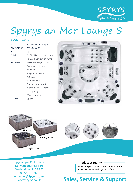

## Spyrys an Mor Lounge S

### Specification

| MODEL:           | Spyrys an Mor Lounge S     |
|------------------|----------------------------|
| DIMENSIONS:      | 200 x 200 x 93cm           |
| JETS:            | 56                         |
| PUMPS:           | 2 x 3HP Hydrotherapy pumps |
|                  | 1 x 0.5HP Circulation Pump |
| <b>FEATURES:</b> | Gecko K500 Digital Control |
|                  | Ozone water treatment      |
|                  | 3kW heater                 |
|                  | Kingspan insulation        |
|                  | ABS Base                   |
|                  | Padded headrests           |
|                  | Bluetooth audio system     |
|                  | 32amp electrical supply    |
|                  | <b>LED Lighting</b>        |
|                  | Water features             |
| SEATING:         | Up to 6                    |
|                  |                            |





Spyrys Spas & Hot Tubs **Product Warranty Product** Wadebridge, PL27 7FE<br>01208 813760 01208 813760 enquiries@Spyrys.co.uk www.Spyrys.co.uk<br>
14  $2 \times 1$  years on parts, 1 year step 5 byrys spas & Hot Tubs

**Product Warranty**

Midnight Canyon

### **Product Warranty**

2 years on parts, 1 year labour, 1 year stereo, 5 years structure and 2 years surface.  $\begin{array}{|c|c|c|c|c|}\n\hline\n2&\gamma\epsilon\end{array}$ 

5 Dunveth Business Park

01208 813760 813760 813760 813760 813760 813760 813760 813760 813760 813760 813760 813760 813760 813760 813760

ww.Spyrys.com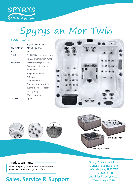

## Spyrys an Mor Twin

### Specificatio

| MODEL:           | Spyrys an Mor Twin         |
|------------------|----------------------------|
| DIMENSIONS:      | 210 x 210 x 93cm           |
| JETS:            | 51                         |
| PUMPS:           | 2 x 2HP Hydrotherapy pump  |
|                  | 1 x 0.5HP Circulation Pump |
| <b>FEATURES:</b> | Gecko K500 Digital Control |
|                  | Ozone water treatment      |
|                  | 3kW heater                 |
|                  | Kingspan insulation        |
|                  | <b>ABS Base</b>            |
|                  | Padded headrests           |
|                  | Bluetooth audio system     |
|                  | 32amp electrical supply    |
|                  | <b>LED Lighting</b>        |
|                  | Water features             |
| SEATING:         | Up to 4                    |
|                  |                            |











Midnight Canyon  $S_{\text{S}}$  space  $\mathcal{S}_{\text{S}}$  or  $\mathcal{S}_{\text{S}}$ 

5 Dunveth Business Park Wadebridge

### **Product Warranty**

**Product Warranty**

2 years on parts, 1 year labour, 1 year stereo, 5 years structure and 2 years surface.

### Sales, Service & Support  $\frac{1}{2}$

01208 81376 81376 81376 81376 81376 81376 81376 81376 81376 81376 81376 81376 81376 81376 81376 81376 81376 8<br>1

Midnight Canyon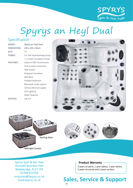

## Spyrys an Heyl Dual

### Specification

| MODEL:           | Spyrys an Heyl Dual        |
|------------------|----------------------------|
| DIMENSIONS:      | 230 x 230 x 94cm           |
| JETS:            | 73                         |
| PUMPS:           | 3 x 2HP Hydrotherapy pump  |
|                  | 1 x 0.5HP Circulation Pump |
| <b>FEATURES:</b> | Gecko K1000 Touchscreen    |
|                  | Ozone water treatment      |
|                  | 3kW heater                 |
|                  | Kingspan insulation        |
|                  | <b>ABS Base</b>            |
|                  | Padded headrests           |
|                  | Bluetooth audio system     |
|                  | 32amp electrical supply    |
|                  | LED Lighting               |
|                  | Water features             |
| <b>SEATING:</b>  | Up to 4                    |
|                  |                            |





Midnight Canyon

Midnight Canyon

Spyrys Spas & Hot Tubs **Product Warranty Product** Wadebridge, PL27 7FE<br>01208 813760 01208 813760 enquiries@Spyrys.co.uk www.Spyrys.co.uk **Sal**  $2 \times 1$  years on parts, 1 year step 5 byrys spas & Hot Tubs

**Product Warranty**

### **Product Warranty**

2 years on parts, 1 year labour, 1 year stereo, 5 years structure and 2 years surface.  $\begin{array}{|c|c|c|c|c|}\n\hline\n2&\gamma\epsilon\end{array}$ 

5 Dunveth Business Park

01208 813760 813760 813760 813760 813760 813760 813760 813760 813760 813760 813760 813760 813760 813760 813760

ww.Spyrys.com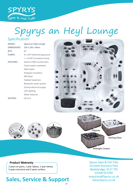

## Specification Spyrys an Heyl Lounge

### Specification

| MODEL:             | Spyrys an Heyl Lounge      |  |
|--------------------|----------------------------|--|
| <b>DIMENSIONS:</b> | 230 x 230 x 94cm           |  |
| JETS:              | 64                         |  |
| PUMPS:             | 3 x 2HP Hydrotherapy pump  |  |
|                    | 1 x 0.5HP Circulation Pump |  |
| <b>FEATURES:</b>   | Gecko K1000 Touchscreen    |  |
|                    | Ozone water treatment      |  |
|                    | 3kW heater                 |  |
|                    | Kingspan insulation        |  |
|                    | ABS Base                   |  |
|                    | Padded headrests           |  |
|                    | Bluetooth audio system     |  |
|                    | 32amp electrical supply    |  |
|                    | <b>LED Lighting</b>        |  |
|                    | Water features             |  |
| SEATING:           | Up to $6$                  |  |







Midnight Canyon  $S_{\text{S}}$  space  $\mathcal{S}_{\text{S}}$  or  $\mathcal{S}_{\text{S}}$ 

5 Dunveth Business Park Wadebridge

### **Product Warranty**

**Product Warranty**

2 years on parts, 1 year labour, 1 year stereo, 5 years structure and 2 years surface.

### Sales, Service & Support  $\frac{1}{2}$

01208 81376 81376 81376 81376 81376 81376 81376 81376 81376 81376 81376 81376 81376 81376 81376 81376 81376 8<br>1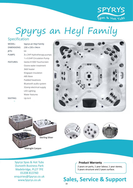

## Spyrys an Heyl Family Spus a Hot Tu Specification

### Specification DIMENSIONS: 230 x 230 x 94cm

| MODEL:             | Spyrys an Heyl Family      |
|--------------------|----------------------------|
| <b>DIMENSIONS:</b> | 230 x 230 x 94cm           |
| JETS:              | 64                         |
| PUMPS:             | 3 x 2HP Hydrotherapy pumps |
|                    | 1 x 0.5HP Circulation Pump |
| <b>FEATURES:</b>   | Gecko K1000 Touchscreen    |
|                    | Ozone water treatment      |
|                    | 3kW heater                 |
|                    | Kingspan insulation        |
|                    | <b>ABS Base</b>            |
|                    | Padded headrests           |
|                    | Bluetooth audio system     |
|                    | 32amp electrical supply    |
|                    | <b>LED Lighting</b>        |
|                    | Water features             |
| SEATING:           | Up to 6                    |
|                    |                            |





£ 8,995

SEATING: Up to 6

Sterling Silver



Midnight Canyon Midnight Canyon

Midnight Canyon

Sterling Silver

Spyrys Spas & Hot Tubs **Product Warranty Product** Wadebridge, PL27 7FE<br>01208 813760 01208 813760 enquiries@Spyrys.co.uk www.Spyrys.co.uk  $2 \times 1$  years on parts, 1 year step 5 byrys spas & Hot Tubs ww.Spyrys.co.uk

**Product Warranty**

Midnight Canyon

### **Product Warranty**

**Product warranty**<br>2 years on parts, 1 year labour, 1 year stereo,  $5$  years structure and 2 years surface.  $\begin{array}{|c|c|c|c|c|}\n\hline\n2&\gamma\epsilon\end{array}$ 

5 Dunveth Business Park

01208 813760 813760 813760 813760 813760 813760 813760 813760 813760 813760 813760 813760 813760 813760 813760

ww.Spyrys.com

Wadebridge (1982)<br>Wadebridge (1982)

#### **Sales, Service & Support** wicc or ya  $P_2$   $R_1$ 100 **0.00**